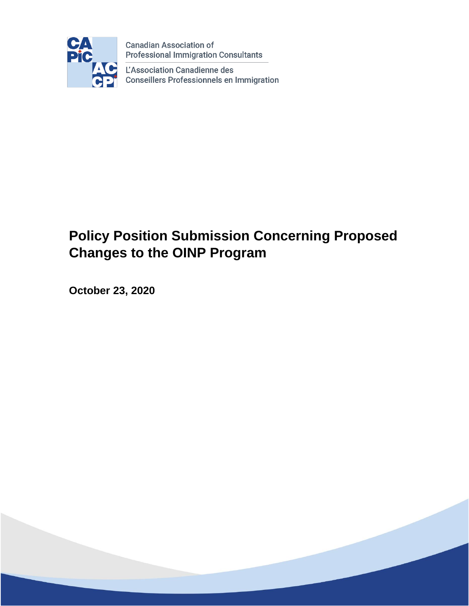

**Canadian Association of Professional Immigration Consultants** 

L'Association Canadienne des **Conseillers Professionnels en Immigration** 

# **Policy Position Submission Concerning Proposed Changes to the OINP Program**

**October 23, 2020**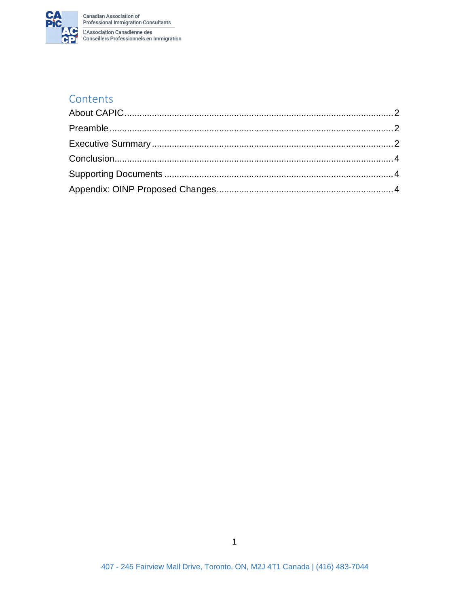

#### Contents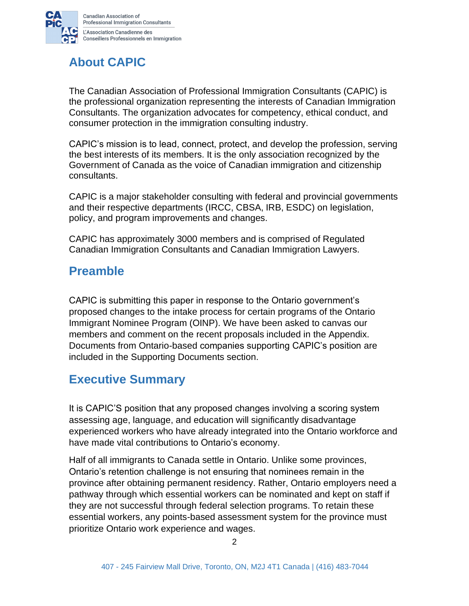

## <span id="page-2-0"></span>**About CAPIC**

The Canadian Association of Professional Immigration Consultants (CAPIC) is the professional organization representing the interests of Canadian Immigration Consultants. The organization advocates for competency, ethical conduct, and consumer protection in the immigration consulting industry.

CAPIC's mission is to lead, connect, protect, and develop the profession, serving the best interests of its members. It is the only association recognized by the Government of Canada as the voice of Canadian immigration and citizenship consultants.

CAPIC is a major stakeholder consulting with federal and provincial governments and their respective departments (IRCC, CBSA, IRB, ESDC) on legislation, policy, and program improvements and changes.

CAPIC has approximately 3000 members and is comprised of Regulated Canadian Immigration Consultants and Canadian Immigration Lawyers.

#### <span id="page-2-1"></span>**Preamble**

CAPIC is submitting this paper in response to the Ontario government's proposed changes to the intake process for certain programs of the Ontario Immigrant Nominee Program (OINP). We have been asked to canvas our members and comment on the recent proposals included in the Appendix. Documents from Ontario-based companies supporting CAPIC's position are included in the Supporting Documents section.

### <span id="page-2-2"></span>**Executive Summary**

It is CAPIC'S position that any proposed changes involving a scoring system assessing age, language, and education will significantly disadvantage experienced workers who have already integrated into the Ontario workforce and have made vital contributions to Ontario's economy.

Half of all immigrants to Canada settle in Ontario. Unlike some provinces, Ontario's retention challenge is not ensuring that nominees remain in the province after obtaining permanent residency. Rather, Ontario employers need a pathway through which essential workers can be nominated and kept on staff if they are not successful through federal selection programs. To retain these essential workers, any points-based assessment system for the province must prioritize Ontario work experience and wages.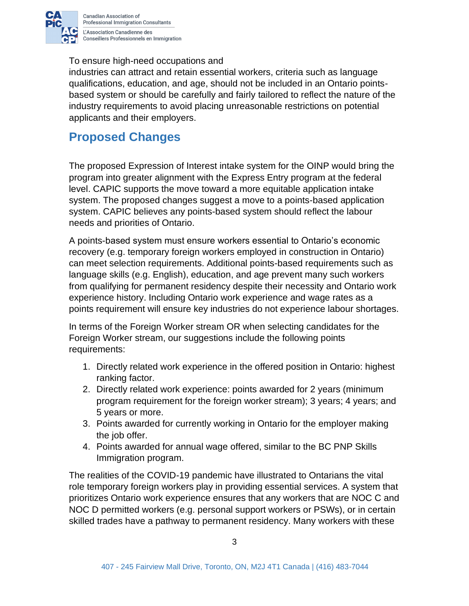

To ensure high-need occupations and

industries can attract and retain essential workers, criteria such as language qualifications, education, and age, should not be included in an Ontario pointsbased system or should be carefully and fairly tailored to reflect the nature of the industry requirements to avoid placing unreasonable restrictions on potential applicants and their employers.

### **Proposed Changes**

The proposed Expression of Interest intake system for the OINP would bring the program into greater alignment with the Express Entry program at the federal level. CAPIC supports the move toward a more equitable application intake system. The proposed changes suggest a move to a points-based application system. CAPIC believes any points-based system should reflect the labour needs and priorities of Ontario.

A points-based system must ensure workers essential to Ontario's economic recovery (e.g. temporary foreign workers employed in construction in Ontario) can meet selection requirements. Additional points-based requirements such as language skills (e.g. English), education, and age prevent many such workers from qualifying for permanent residency despite their necessity and Ontario work experience history. Including Ontario work experience and wage rates as a points requirement will ensure key industries do not experience labour shortages.

In terms of the Foreign Worker stream OR when selecting candidates for the Foreign Worker stream, our suggestions include the following points requirements:

- 1. Directly related work experience in the offered position in Ontario: highest ranking factor.
- 2. Directly related work experience: points awarded for 2 years (minimum program requirement for the foreign worker stream); 3 years; 4 years; and 5 years or more.
- 3. Points awarded for currently working in Ontario for the employer making the job offer.
- 4. Points awarded for annual wage offered, similar to the BC PNP Skills Immigration program.

The realities of the COVID-19 pandemic have illustrated to Ontarians the vital role temporary foreign workers play in providing essential services. A system that prioritizes Ontario work experience ensures that any workers that are NOC C and NOC D permitted workers (e.g. personal support workers or PSWs), or in certain skilled trades have a pathway to permanent residency. Many workers with these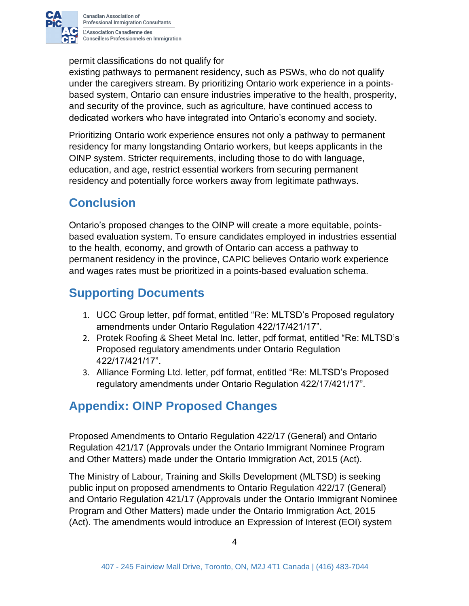

permit classifications do not qualify for

existing pathways to permanent residency, such as PSWs, who do not qualify under the caregivers stream. By prioritizing Ontario work experience in a pointsbased system, Ontario can ensure industries imperative to the health, prosperity, and security of the province, such as agriculture, have continued access to dedicated workers who have integrated into Ontario's economy and society.

Prioritizing Ontario work experience ensures not only a pathway to permanent residency for many longstanding Ontario workers, but keeps applicants in the OINP system. Stricter requirements, including those to do with language, education, and age, restrict essential workers from securing permanent residency and potentially force workers away from legitimate pathways.

### <span id="page-4-0"></span>**Conclusion**

Ontario's proposed changes to the OINP will create a more equitable, pointsbased evaluation system. To ensure candidates employed in industries essential to the health, economy, and growth of Ontario can access a pathway to permanent residency in the province, CAPIC believes Ontario work experience and wages rates must be prioritized in a points-based evaluation schema.

### <span id="page-4-1"></span>**Supporting Documents**

- 1. UCC Group letter, pdf format, entitled "Re: MLTSD's Proposed regulatory amendments under Ontario Regulation 422/17/421/17".
- 2. Protek Roofing & Sheet Metal Inc. letter, pdf format, entitled "Re: MLTSD's Proposed regulatory amendments under Ontario Regulation 422/17/421/17".
- 3. Alliance Forming Ltd. letter, pdf format, entitled "Re: MLTSD's Proposed regulatory amendments under Ontario Regulation 422/17/421/17".

### <span id="page-4-2"></span>**Appendix: OINP Proposed Changes**

Proposed Amendments to Ontario Regulation 422/17 (General) and Ontario Regulation 421/17 (Approvals under the Ontario Immigrant Nominee Program and Other Matters) made under the Ontario Immigration Act, 2015 (Act).

The Ministry of Labour, Training and Skills Development (MLTSD) is seeking public input on proposed amendments to Ontario Regulation 422/17 (General) and Ontario Regulation 421/17 (Approvals under the Ontario Immigrant Nominee Program and Other Matters) made under the Ontario Immigration Act, 2015 (Act). The amendments would introduce an Expression of Interest (EOI) system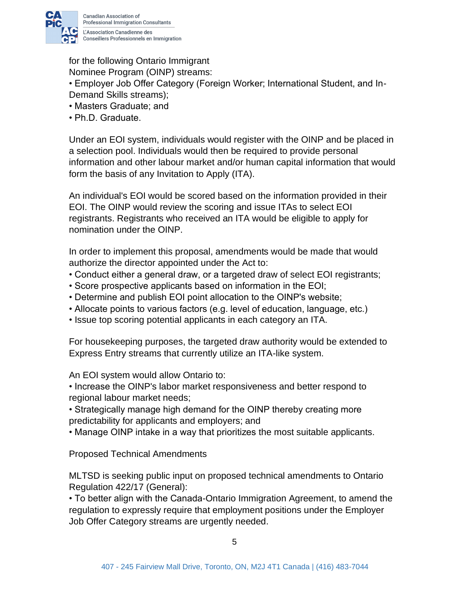

for the following Ontario Immigrant

Nominee Program (OINP) streams:

• Employer Job Offer Category (Foreign Worker; International Student, and In-Demand Skills streams);

- Masters Graduate; and
- Ph.D. Graduate.

Under an EOI system, individuals would register with the OINP and be placed in a selection pool. Individuals would then be required to provide personal information and other labour market and/or human capital information that would form the basis of any Invitation to Apply (ITA).

An individual's EOI would be scored based on the information provided in their EOI. The OINP would review the scoring and issue ITAs to select EOI registrants. Registrants who received an ITA would be eligible to apply for nomination under the OINP.

In order to implement this proposal, amendments would be made that would authorize the director appointed under the Act to:

- Conduct either a general draw, or a targeted draw of select EOI registrants;
- Score prospective applicants based on information in the EOI;
- Determine and publish EOI point allocation to the OINP's website;
- Allocate points to various factors (e.g. level of education, language, etc.)
- Issue top scoring potential applicants in each category an ITA.

For housekeeping purposes, the targeted draw authority would be extended to Express Entry streams that currently utilize an ITA-like system.

An EOI system would allow Ontario to:

• Increase the OINP's labor market responsiveness and better respond to regional labour market needs;

• Strategically manage high demand for the OINP thereby creating more predictability for applicants and employers; and

• Manage OINP intake in a way that prioritizes the most suitable applicants.

Proposed Technical Amendments

MLTSD is seeking public input on proposed technical amendments to Ontario Regulation 422/17 (General):

• To better align with the Canada-Ontario Immigration Agreement, to amend the regulation to expressly require that employment positions under the Employer Job Offer Category streams are urgently needed.